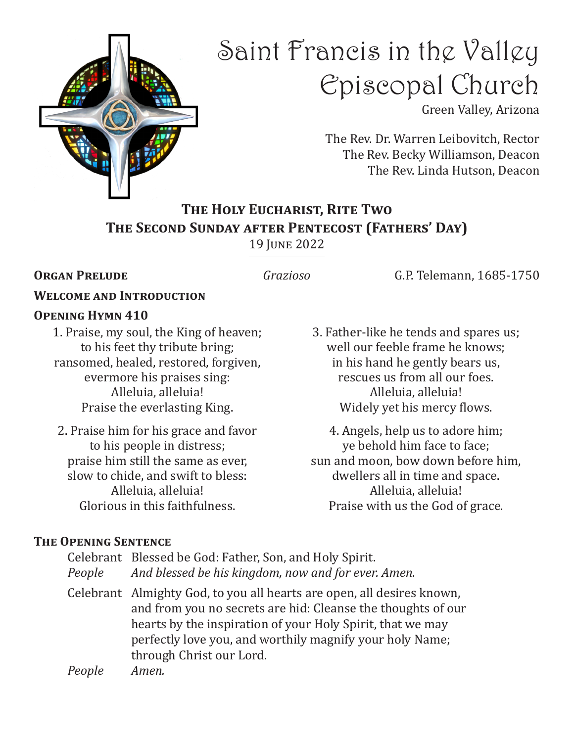

# Saint Francis in the Valley Episcopal Church Green Valley, Arizona

The Rev. Dr. Warren Leibovitch, Rector The Rev. Becky Williamson, Deacon The Rev. Linda Hutson, Deacon

# **The Holy Eucharist, Rite Two The Second Sunday after Pentecost (Fathers' Day)**

19 June 2022

**Organ Prelude** *Grazioso* G.P. Telemann, 1685-1750

### **Welcome and Introduction**

### **Opening Hymn 410**

1. Praise, my soul, the King of heaven; to his feet thy tribute bring; ransomed, healed, restored, forgiven, evermore his praises sing: Alleluia, alleluia! Praise the everlasting King.

2. Praise him for his grace and favor to his people in distress; praise him still the same as ever, slow to chide, and swift to bless: Alleluia, alleluia! Glorious in this faithfulness.

3. Father-like he tends and spares us; well our feeble frame he knows; in his hand he gently bears us, rescues us from all our foes. Alleluia, alleluia! Widely yet his mercy flows.

4. Angels, help us to adore him; ye behold him face to face; sun and moon, bow down before him, dwellers all in time and space. Alleluia, alleluia! Praise with us the God of grace.

### **The Opening Sentence**

|        | Celebrant Blessed be God: Father, Son, and Holy Spirit.                                                                                                                                                                                                                                      |
|--------|----------------------------------------------------------------------------------------------------------------------------------------------------------------------------------------------------------------------------------------------------------------------------------------------|
| People | And blessed be his kingdom, now and for ever. Amen.                                                                                                                                                                                                                                          |
|        | Celebrant Almighty God, to you all hearts are open, all desires known,<br>and from you no secrets are hid: Cleanse the thoughts of our<br>hearts by the inspiration of your Holy Spirit, that we may<br>perfectly love you, and worthily magnify your holy Name;<br>through Christ our Lord. |
| People | Amen.                                                                                                                                                                                                                                                                                        |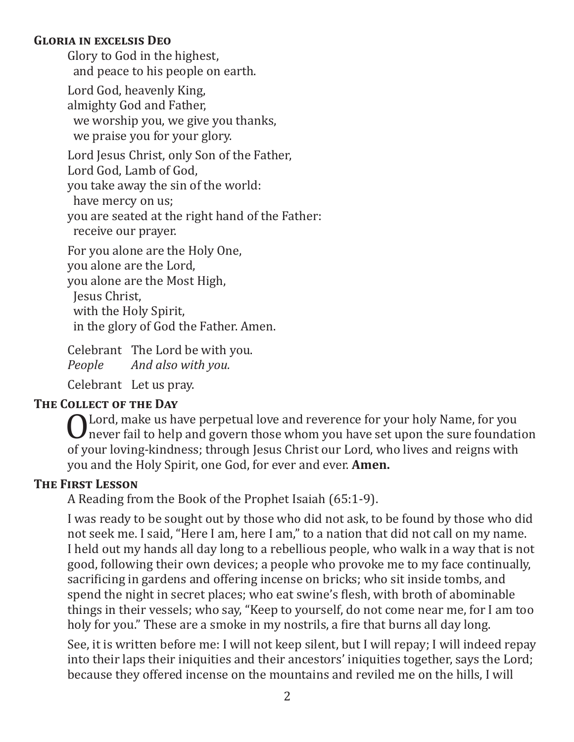### **Gloria in excelsis Deo**

Glory to God in the highest, and peace to his people on earth.

 Lord God, heavenly King, almighty God and Father, we worship you, we give you thanks, we praise you for your glory.

Lord Jesus Christ, only Son of the Father,

Lord God, Lamb of God,

you take away the sin of the world:

have mercy on us;

you are seated at the right hand of the Father:

receive our prayer.

For you alone are the Holy One,

you alone are the Lord,

you alone are the Most High,

 Jesus Christ, with the Holy Spirit,

in the glory of God the Father. Amen.

Celebrant The Lord be with you.<br>People And also with you. And also with you.

Celebrant Let us pray.

# **The Collect of the Day**

O Lord, make us have perpetual love and reverence for your holy Name, for you **J** never fail to help and govern those whom you have set upon the sure foundation of your loving-kindness; through Jesus Christ our Lord, who lives and reigns with you and the Holy Spirit, one God, for ever and ever. **Amen.**

# **The First Lesson**

A Reading from the Book of the Prophet Isaiah (65:1-9).

I was ready to be sought out by those who did not ask, to be found by those who did not seek me. I said, "Here I am, here I am," to a nation that did not call on my name. I held out my hands all day long to a rebellious people, who walk in a way that is not good, following their own devices; a people who provoke me to my face continually, sacrificing in gardens and offering incense on bricks; who sit inside tombs, and spend the night in secret places; who eat swine's flesh, with broth of abominable things in their vessels; who say, "Keep to yourself, do not come near me, for I am too holy for you." These are a smoke in my nostrils, a fire that burns all day long.

See, it is written before me: I will not keep silent, but I will repay; I will indeed repay into their laps their iniquities and their ancestors' iniquities together, says the Lord; because they offered incense on the mountains and reviled me on the hills, I will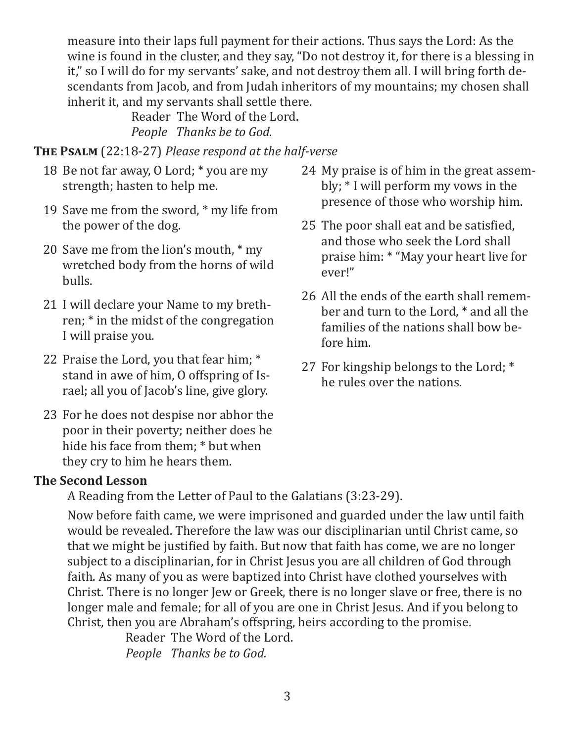measure into their laps full payment for their actions. Thus says the Lord: As the wine is found in the cluster, and they say, "Do not destroy it, for there is a blessing in it," so I will do for my servants' sake, and not destroy them all. I will bring forth descendants from Jacob, and from Judah inheritors of my mountains; my chosen shall inherit it, and my servants shall settle there.

 Reader The Word of the Lord. *People Thanks be to God.*

# **The Psalm** (22:18-27) *Please respond at the half-verse*

- 18 Be not far away, O Lord; \* you are my strength; hasten to help me.
- 19 Save me from the sword, \* my life from the power of the dog.
- 20 Save me from the lion's mouth, \* my wretched body from the horns of wild bulls.
- 21 I will declare your Name to my breth ren; \* in the midst of the congregation I will praise you.
- 22 Praise the Lord, you that fear him; \* stand in awe of him, O offspring of Is rael; all you of Jacob's line, give glory.
- 23 For he does not despise nor abhor the poor in their poverty; neither does he hide his face from them; \* but when they cry to him he hears them.

# **The Second Lesson**

A Reading from the Letter of Paul to the Galatians (3:23-29).

Now before faith came, we were imprisoned and guarded under the law until faith would be revealed. Therefore the law was our disciplinarian until Christ came, so that we might be justified by faith. But now that faith has come, we are no longer subject to a disciplinarian, for in Christ Jesus you are all children of God through faith. As many of you as were baptized into Christ have clothed yourselves with Christ. There is no longer Jew or Greek, there is no longer slave or free, there is no longer male and female; for all of you are one in Christ Jesus. And if you belong to Christ, then you are Abraham's offspring, heirs according to the promise.

 Reader The Word of the Lord. *People Thanks be to God.*

- 24 My praise is of him in the great assem bly; \* I will perform my vows in the presence of those who worship him.
- 25 The poor shall eat and be satisfied, and those who seek the Lord shall praise him: \* "May your heart live for ever!"
- 26 All the ends of the earth shall remem ber and turn to the Lord, \* and all the families of the nations shall bow be fore him.
- 27 For kingship belongs to the Lord; \* he rules over the nations.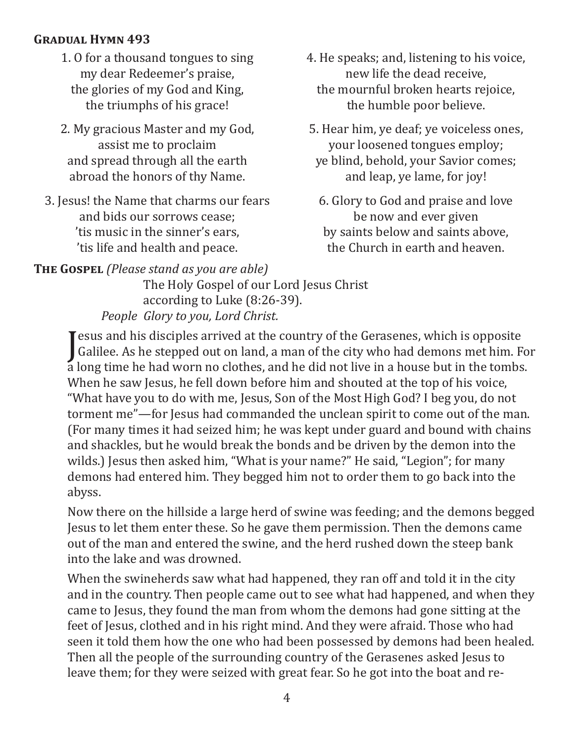# **Gradual Hymn 493**

- 1. O for a thousand tongues to sing my dear Redeemer's praise, the glories of my God and King, the triumphs of his grace!
- 2. My gracious Master and my God, assist me to proclaim and spread through all the earth abroad the honors of thy Name.
- 3. Jesus! the Name that charms our fears and bids our sorrows cease; 'tis music in the sinner's ears, 'tis life and health and peace.
- 4. He speaks; and, listening to his voice, new life the dead receive, the mournful broken hearts rejoice, the humble poor believe.
- 5. Hear him, ye deaf; ye voiceless ones, your loosened tongues employ; ye blind, behold, your Savior comes; and leap, ye lame, for joy!

6. Glory to God and praise and love be now and ever given by saints below and saints above, the Church in earth and heaven.

**The Gospel** *(Please stand as you are able)*

 The Holy Gospel of our Lord Jesus Christ according to Luke (8:26-39). *People Glory to you, Lord Christ.*

Galilee. As he stepped out on land, a man of the city who had demons met him. Fo<br>a long time he had worn no clothes, and he did not live in a house but in the tombs. esus and his disciples arrived at the country of the Gerasenes, which is opposite Galilee. As he stepped out on land, a man of the city who had demons met him. For When he saw Jesus, he fell down before him and shouted at the top of his voice, "What have you to do with me, Jesus, Son of the Most High God? I beg you, do not torment me"—for Jesus had commanded the unclean spirit to come out of the man. (For many times it had seized him; he was kept under guard and bound with chains and shackles, but he would break the bonds and be driven by the demon into the wilds.) Jesus then asked him, "What is your name?" He said, "Legion"; for many demons had entered him. They begged him not to order them to go back into the abyss.

Now there on the hillside a large herd of swine was feeding; and the demons begged Jesus to let them enter these. So he gave them permission. Then the demons came out of the man and entered the swine, and the herd rushed down the steep bank into the lake and was drowned.

When the swineherds saw what had happened, they ran off and told it in the city and in the country. Then people came out to see what had happened, and when they came to Jesus, they found the man from whom the demons had gone sitting at the feet of Jesus, clothed and in his right mind. And they were afraid. Those who had seen it told them how the one who had been possessed by demons had been healed. Then all the people of the surrounding country of the Gerasenes asked Jesus to leave them; for they were seized with great fear. So he got into the boat and re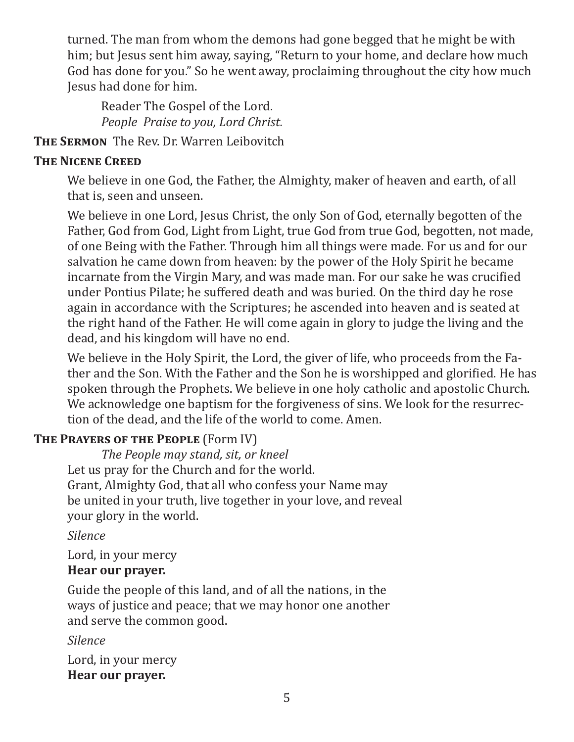turned. The man from whom the demons had gone begged that he might be with him; but Jesus sent him away, saying, "Return to your home, and declare how much God has done for you." So he went away, proclaiming throughout the city how much Jesus had done for him.

 Reader The Gospel of the Lord. *People Praise to you, Lord Christ.*

# **The Sermon** The Rev. Dr. Warren Leibovitch

# **The Nicene Creed**

 We believe in one God, the Father, the Almighty, maker of heaven and earth, of all that is, seen and unseen.

 We believe in one Lord, Jesus Christ, the only Son of God, eternally begotten of the Father, God from God, Light from Light, true God from true God, begotten, not made, of one Being with the Father. Through him all things were made. For us and for our salvation he came down from heaven: by the power of the Holy Spirit he became incarnate from the Virgin Mary, and was made man. For our sake he was crucified under Pontius Pilate; he suffered death and was buried. On the third day he rose again in accordance with the Scriptures; he ascended into heaven and is seated at the right hand of the Father. He will come again in glory to judge the living and the dead, and his kingdom will have no end.

 We believe in the Holy Spirit, the Lord, the giver of life, who proceeds from the Father and the Son. With the Father and the Son he is worshipped and glorified. He has spoken through the Prophets. We believe in one holy catholic and apostolic Church. We acknowledge one baptism for the forgiveness of sins. We look for the resurrec tion of the dead, and the life of the world to come. Amen.

# **The Prayers of the People** (Form IV)

 *The People may stand, sit, or kneel* Let us pray for the Church and for the world. Grant, Almighty God, that all who confess your Name may be united in your truth, live together in your love, and reveal your glory in the world.

*Silence*

Lord, in your mercy **Hear our prayer.**

Guide the people of this land, and of all the nations, in the ways of justice and peace; that we may honor one another and serve the common good.

# *Silence*

Lord, in your mercy **Hear our prayer.**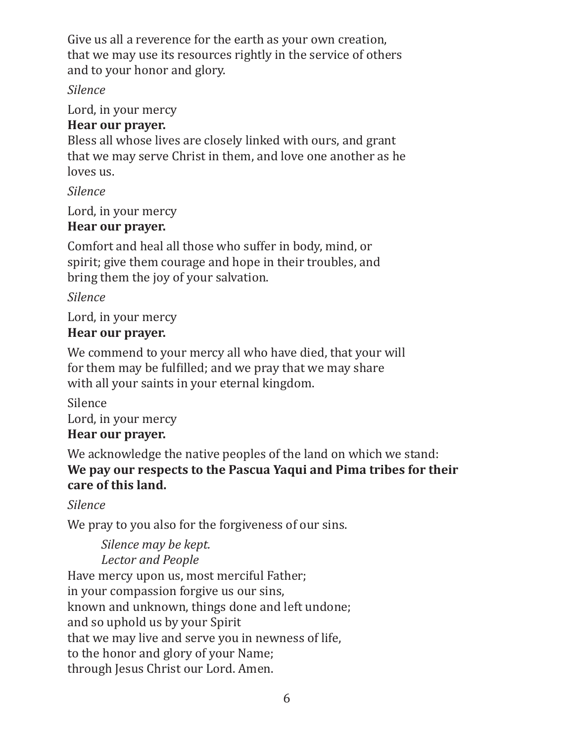Give us all a reverence for the earth as your own creation, that we may use its resources rightly in the service of others and to your honor and glory.

# *Silence*

Lord, in your mercy

# **Hear our prayer.**

Bless all whose lives are closely linked with ours, and grant that we may serve Christ in them, and love one another as he loves us.

*Silence*

Lord, in your mercy

# **Hear our prayer.**

Comfort and heal all those who suffer in body, mind, or spirit; give them courage and hope in their troubles, and bring them the joy of your salvation.

*Silence*

Lord, in your mercy

# **Hear our prayer.**

We commend to your mercy all who have died, that your will for them may be fulfilled; and we pray that we may share with all your saints in your eternal kingdom.

Silence Lord, in your mercy **Hear our prayer.**

We acknowledge the native peoples of the land on which we stand: **We pay our respects to the Pascua Yaqui and Pima tribes for their care of this land.**

# *Silence*

We pray to you also for the forgiveness of our sins.

 *Silence may be kept. Lector and People* Have mercy upon us, most merciful Father; in your compassion forgive us our sins, known and unknown, things done and left undone; and so uphold us by your Spirit that we may live and serve you in newness of life, to the honor and glory of your Name; through Jesus Christ our Lord. Amen.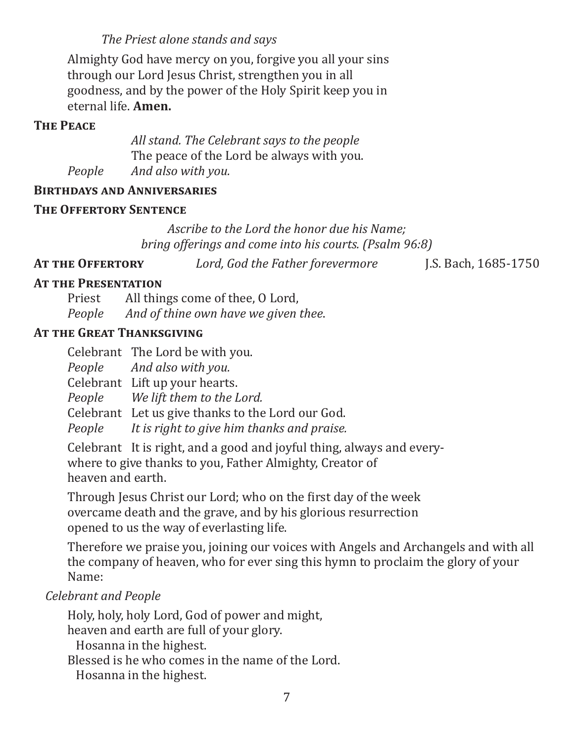*The Priest alone stands and says*

Almighty God have mercy on you, forgive you all your sins through our Lord Jesus Christ, strengthen you in all goodness, and by the power of the Holy Spirit keep you in eternal life. **Amen.**

### **The Peace**

*All stand. The Celebrant says to the people* The peace of the Lord be always with you.<br>*People* And also with you. And also with you.

### **Birthdays and Anniversaries**

### **The Offertory Sentence**

*Ascribe to the Lord the honor due his Name; bring offerings and come into his courts. (Psalm 96:8)*

**At the Offertory** *Lord, God the Father forevermore* J.S. Bach, 1685-1750

### **At the Presentation**

Priest All things come of thee, O Lord,<br>People And of thine own have we given And of thine own have we given thee.

### **At the Great Thanksgiving**

|  | Celebrant The Lord be with you.                   |
|--|---------------------------------------------------|
|  | People And also with you.                         |
|  | Celebrant Lift up your hearts.                    |
|  | People We lift them to the Lord.                  |
|  | Celebrant Let us give thanks to the Lord our God. |
|  | People It is right to give him thanks and praise. |
|  |                                                   |

Celebrant It is right, and a good and joyful thing, always and every where to give thanks to you, Father Almighty, Creator of heaven and earth.

 Through Jesus Christ our Lord; who on the first day of the week overcame death and the grave, and by his glorious resurrection opened to us the way of everlasting life.

 Therefore we praise you, joining our voices with Angels and Archangels and with all the company of heaven, who for ever sing this hymn to proclaim the glory of your Name:

*Celebrant and People*

 Holy, holy, holy Lord, God of power and might, heaven and earth are full of your glory.

Hosanna in the highest.

Blessed is he who comes in the name of the Lord.

Hosanna in the highest.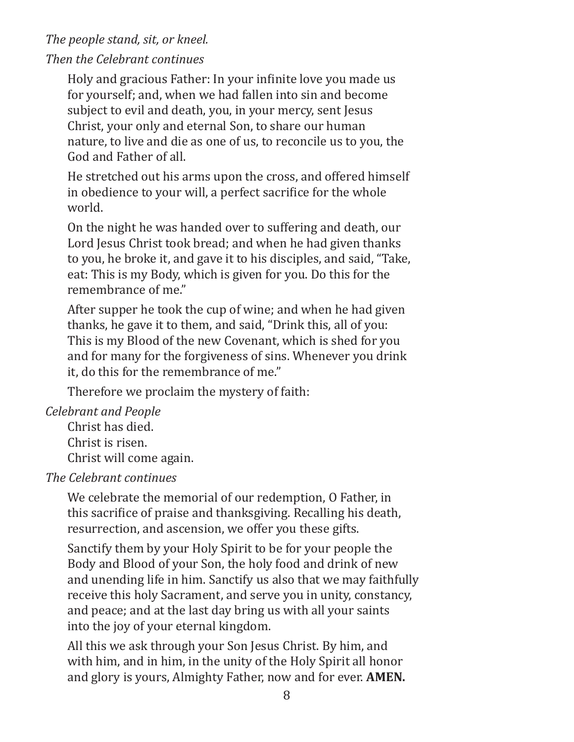# *The people stand, sit, or kneel.*

*Then the Celebrant continues*

 Holy and gracious Father: In your infinite love you made us for yourself; and, when we had fallen into sin and become subject to evil and death, you, in your mercy, sent Jesus Christ, your only and eternal Son, to share our human nature, to live and die as one of us, to reconcile us to you, the God and Father of all.

 He stretched out his arms upon the cross, and offered himself in obedience to your will, a perfect sacrifice for the whole world.

 On the night he was handed over to suffering and death, our Lord Jesus Christ took bread; and when he had given thanks to you, he broke it, and gave it to his disciples, and said, "Take, eat: This is my Body, which is given for you. Do this for the remembrance of me."

 After supper he took the cup of wine; and when he had given thanks, he gave it to them, and said, "Drink this, all of you: This is my Blood of the new Covenant, which is shed for you and for many for the forgiveness of sins. Whenever you drink it, do this for the remembrance of me."

Therefore we proclaim the mystery of faith:

*Celebrant and People*

 Christ has died. Christ is risen. Christ will come again.

*The Celebrant continues*

 We celebrate the memorial of our redemption, O Father, in this sacrifice of praise and thanksgiving. Recalling his death, resurrection, and ascension, we offer you these gifts.

 Sanctify them by your Holy Spirit to be for your people the Body and Blood of your Son, the holy food and drink of new and unending life in him. Sanctify us also that we may faithfully receive this holy Sacrament, and serve you in unity, constancy, and peace; and at the last day bring us with all your saints into the joy of your eternal kingdom.

 All this we ask through your Son Jesus Christ. By him, and with him, and in him, in the unity of the Holy Spirit all honor and glory is yours, Almighty Father, now and for ever. **AMEN.**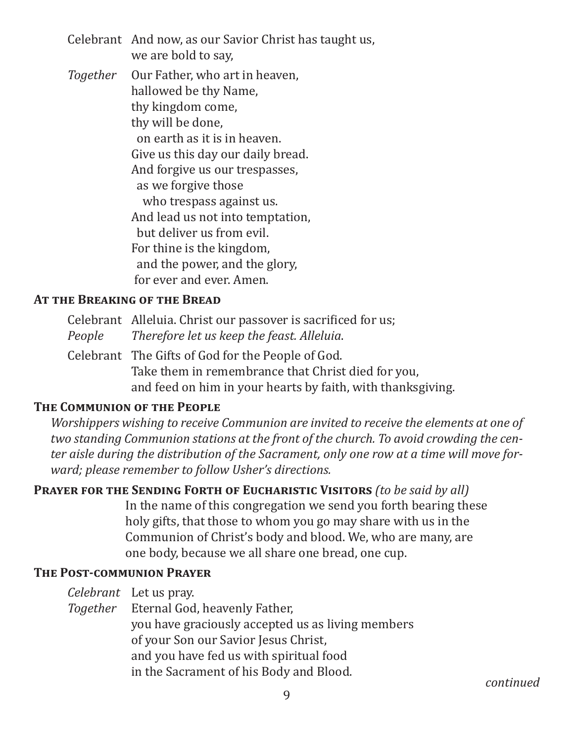Celebrant And now, as our Savior Christ has taught us, we are bold to say,

*Together* Our Father, who art in heaven, hallowed be thy Name, thy kingdom come, thy will be done, on earth as it is in heaven. Give us this day our daily bread. And forgive us our trespasses, as we forgive those who trespass against us. And lead us not into temptation, but deliver us from evil. For thine is the kingdom, and the power, and the glory, for ever and ever. Amen.

### **At the Breaking of the Bread**

Celebrant Alleluia. Christ our passover is sacrificed for us; *People Therefore let us keep the feast. Alleluia*. Celebrant The Gifts of God for the People of God. Take them in remembrance that Christ died for you, and feed on him in your hearts by faith, with thanksgiving.

### **The Communion of the People**

*Worshippers wishing to receive Communion are invited to receive the elements at one of two standing Communion stations at the front of the church. To avoid crowding the center aisle during the distribution of the Sacrament, only one row at a time will move forward; please remember to follow Usher's directions.*

**Prayer for the Sending Forth of Eucharistic Visitors** *(to be said by all)* In the name of this congregation we send you forth bearing these holy gifts, that those to whom you go may share with us in the Communion of Christ's body and blood. We, who are many, are one body, because we all share one bread, one cup.

### **The Post-communion Prayer**

|  | <i>Celebrant</i> Let us pray.                     |           |
|--|---------------------------------------------------|-----------|
|  | <i>Together</i> Eternal God, heavenly Father,     |           |
|  | you have graciously accepted us as living members |           |
|  | of your Son our Savior Jesus Christ,              |           |
|  | and you have fed us with spiritual food           |           |
|  | in the Sacrament of his Body and Blood.           |           |
|  |                                                   | continued |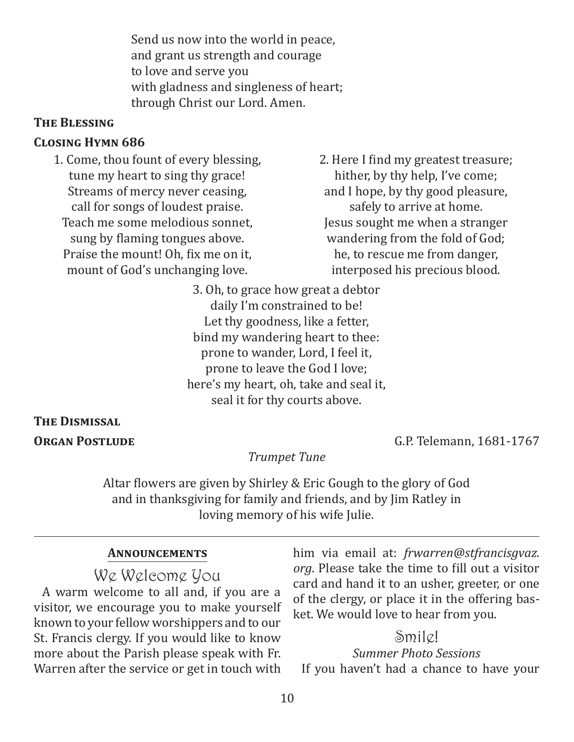Send us now into the world in peace, and grant us strength and courage to love and serve you with gladness and singleness of heart; through Christ our Lord. Amen.

### **The Blessing**

# **Closing Hymn 686**

- 1. Come, thou fount of every blessing, tune my heart to sing thy grace! Streams of mercy never ceasing, call for songs of loudest praise. Teach me some melodious sonnet, sung by flaming tongues above. Praise the mount! Oh, fix me on it, mount of God's unchanging love.
- 2. Here I find my greatest treasure; hither, by thy help, I've come; and I hope, by thy good pleasure, safely to arrive at home. Jesus sought me when a stranger wandering from the fold of God; he, to rescue me from danger, interposed his precious blood.

3. Oh, to grace how great a debtor daily I'm constrained to be! Let thy goodness, like a fetter, bind my wandering heart to thee: prone to wander, Lord, I feel it, prone to leave the God I love; here's my heart, oh, take and seal it, seal it for thy courts above.

# **The Dismissal**

**ORGAN POSTLUDE** G.P. Telemann, 1681-1767

*Trumpet Tune*

Altar flowers are given by Shirley & Eric Gough to the glory of God and in thanksgiving for family and friends, and by Jim Ratley in loving memory of his wife Julie.

# **Announcements**

We Welcome You A warm welcome to all and, if you are a visitor, we encourage you to make yourself known to your fellow worshippers and to our St. Francis clergy. If you would like to know more about the Parish please speak with Fr. Warren after the service or get in touch with him via email at: *frwarren@stfrancisgvaz. org*. Please take the time to fill out a visitor card and hand it to an usher, greeter, or one of the clergy, or place it in the offering basket. We would love to hear from you.

Smile! *Summer Photo Sessions* If you haven't had a chance to have your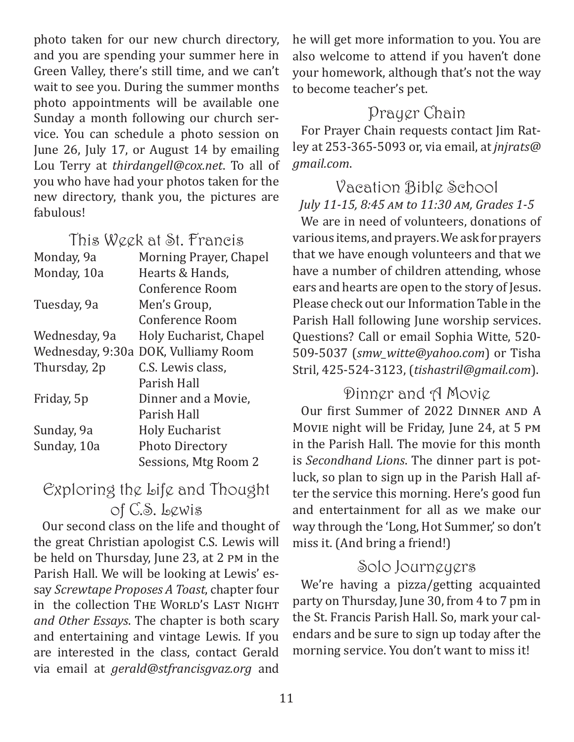photo taken for our new church directory, and you are spending your summer here in Green Valley, there's still time, and we can't wait to see you. During the summer months photo appointments will be available one Sunday a month following our church service. You can schedule a photo session on June 26, July 17, or August 14 by emailing Lou Terry at *thirdangell@cox.net*. To all of you who have had your photos taken for the new directory, thank you, the pictures are fabulous!

This Week at St. Francis Monday, 9a Morning Prayer, Chapel<br>Monday, 10a Hearts & Hands, Hearts & Hands, Conference Room Tuesday, 9a Men's Group, Conference Room Wednesday, 9a Holy Eucharist, Chapel Wednesday, 9:30a DOK, Vulliamy Room<br>Thursday, 2p C.S. Lewis class, C.S. Lewis class, Parish Hall Friday, 5p Dinner and a Movie, Parish Hall Sunday, 9a Holy Eucharist<br>Sunday, 10a Photo Directory Photo Directory Sessions, Mtg Room 2

# Exploring the Life and Thought of C.S. Lewis

Our second class on the life and thought of the great Christian apologist C.S. Lewis will be held on Thursday, June 23, at 2 pm in the Parish Hall. We will be looking at Lewis' essay *Screwtape Proposes A Toast*, chapter four in the collection THE WORLD'S LAST NIGHT *and Other Essays*. The chapter is both scary and entertaining and vintage Lewis. If you are interested in the class, contact Gerald via email at *gerald@stfrancisgvaz.org* and

he will get more information to you. You are also welcome to attend if you haven't done your homework, although that's not the way to become teacher's pet.

# Prayer Chain

For Prayer Chain requests contact Jim Ratley at 253-365-5093 or, via email, at *jnjrats@ gmail.com*.

# Vacation Bible School *July 11-15, 8:45 am to 11:30 am, Grades 1-5*

We are in need of volunteers, donations of various items, and prayers. We ask for prayers that we have enough volunteers and that we have a number of children attending, whose ears and hearts are open to the story of Jesus. Please check out our Information Table in the Parish Hall following June worship services. Questions? Call or email Sophia Witte, 520- 509-5037 (*smw\_witte@yahoo.com*) or Tisha Stril, 425-524-3123, (*tishastril@gmail.com*).

# Dinner and A Movie

Our first Summer of 2022 Dinner and A Movie night will be Friday, June 24, at 5 PM in the Parish Hall. The movie for this month is *Secondhand Lions*. The dinner part is potluck, so plan to sign up in the Parish Hall after the service this morning. Here's good fun and entertainment for all as we make our way through the 'Long, Hot Summer,' so don't miss it. (And bring a friend!)

# Solo Journeyers

We're having a pizza/getting acquainted party on Thursday, June 30, from 4 to 7 pm in the St. Francis Parish Hall. So, mark your calendars and be sure to sign up today after the morning service. You don't want to miss it!